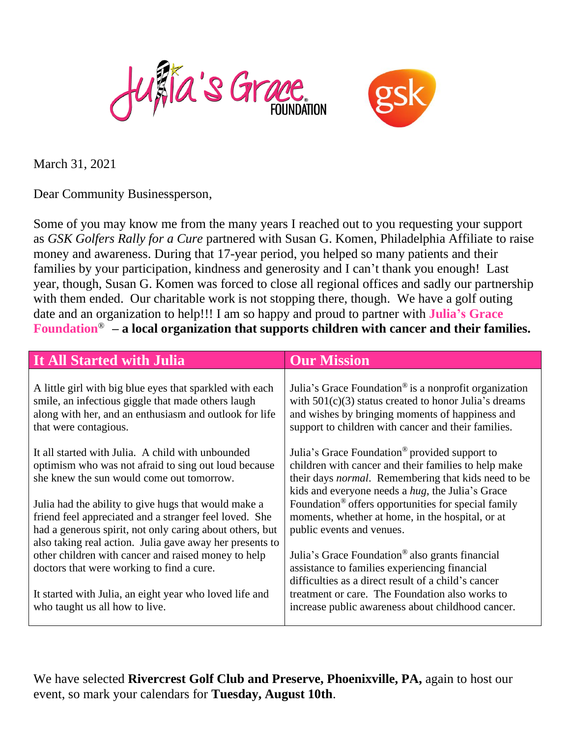



March 31, 2021

Dear Community Businessperson,

Some of you may know me from the many years I reached out to you requesting your support as *GSK Golfers Rally for a Cure* partnered with Susan G. Komen, Philadelphia Affiliate to raise money and awareness. During that 17-year period, you helped so many patients and their families by your participation, kindness and generosity and I can't thank you enough! Last year, though, Susan G. Komen was forced to close all regional offices and sadly our partnership with them ended. Our charitable work is not stopping there, though. We have a golf outing date and an organization to help!!! I am so happy and proud to partner with **Julia's Grace Foundation**® **– a local organization that supports children with cancer and their families.** 

| It All Started with Julia                                                                                                                                                                                                              | <b>Our Mission</b>                                                                                                                                                                                                                           |
|----------------------------------------------------------------------------------------------------------------------------------------------------------------------------------------------------------------------------------------|----------------------------------------------------------------------------------------------------------------------------------------------------------------------------------------------------------------------------------------------|
| A little girl with big blue eyes that sparkled with each<br>smile, an infectious giggle that made others laugh<br>along with her, and an enthusiasm and outlook for life<br>that were contagious.                                      | Julia's Grace Foundation <sup>®</sup> is a nonprofit organization<br>with $501(c)(3)$ status created to honor Julia's dreams<br>and wishes by bringing moments of happiness and<br>support to children with cancer and their families.       |
| It all started with Julia. A child with unbounded<br>optimism who was not afraid to sing out loud because<br>she knew the sun would come out tomorrow.                                                                                 | Julia's Grace Foundation <sup>®</sup> provided support to<br>children with cancer and their families to help make<br>their days <i>normal</i> . Remembering that kids need to be<br>kids and everyone needs a <i>hug</i> , the Julia's Grace |
| Julia had the ability to give hugs that would make a<br>friend feel appreciated and a stranger feel loved. She<br>had a generous spirit, not only caring about others, but<br>also taking real action. Julia gave away her presents to | Foundation <sup>®</sup> offers opportunities for special family<br>moments, whether at home, in the hospital, or at<br>public events and venues.                                                                                             |
| other children with cancer and raised money to help<br>doctors that were working to find a cure.                                                                                                                                       | Julia's Grace Foundation <sup>®</sup> also grants financial<br>assistance to families experiencing financial<br>difficulties as a direct result of a child's cancer                                                                          |
| It started with Julia, an eight year who loved life and<br>who taught us all how to live.                                                                                                                                              | treatment or care. The Foundation also works to<br>increase public awareness about childhood cancer.                                                                                                                                         |

We have selected **Rivercrest Golf Club and Preserve, Phoenixville, PA,** again to host our event, so mark your calendars for **Tuesday, August 10th**.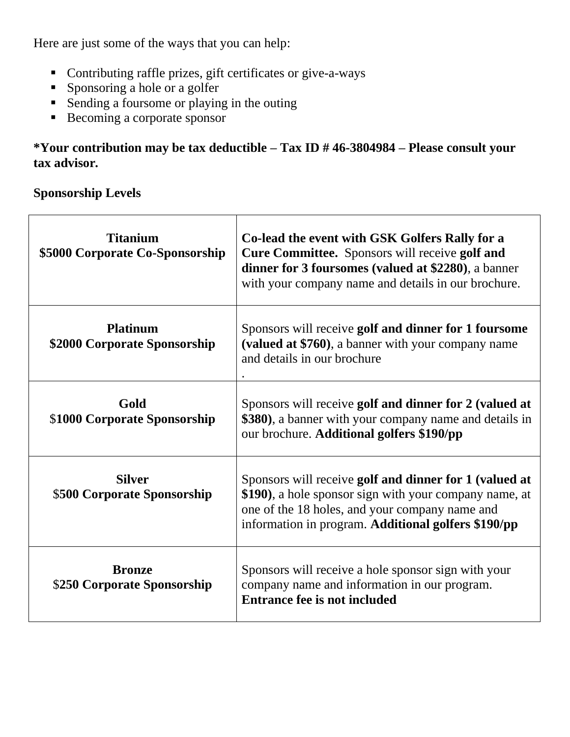Here are just some of the ways that you can help:

- Contributing raffle prizes, gift certificates or give-a-ways
- **•** Sponsoring a hole or a golfer
- Sending a foursome or playing in the outing
- Becoming a corporate sponsor

# **\*Your contribution may be tax deductible – Tax ID # 46-3804984 – Please consult your tax advisor***.*

# **Sponsorship Levels**

Г

| <b>Titanium</b><br>\$5000 Corporate Co-Sponsorship | Co-lead the event with GSK Golfers Rally for a<br>Cure Committee. Sponsors will receive golf and<br>dinner for 3 foursomes (valued at \$2280), a banner<br>with your company name and details in our brochure.            |
|----------------------------------------------------|---------------------------------------------------------------------------------------------------------------------------------------------------------------------------------------------------------------------------|
| <b>Platinum</b><br>\$2000 Corporate Sponsorship    | Sponsors will receive golf and dinner for 1 foursome<br>(valued at \$760), a banner with your company name<br>and details in our brochure                                                                                 |
| Gold<br>\$1000 Corporate Sponsorship               | Sponsors will receive golf and dinner for 2 (valued at<br>\$380), a banner with your company name and details in<br>our brochure. Additional golfers \$190/pp                                                             |
| <b>Silver</b><br>\$500 Corporate Sponsorship       | Sponsors will receive golf and dinner for 1 (valued at<br>\$190), a hole sponsor sign with your company name, at<br>one of the 18 holes, and your company name and<br>information in program. Additional golfers \$190/pp |
| <b>Bronze</b><br>\$250 Corporate Sponsorship       | Sponsors will receive a hole sponsor sign with your<br>company name and information in our program.<br>Entrance fee is not included                                                                                       |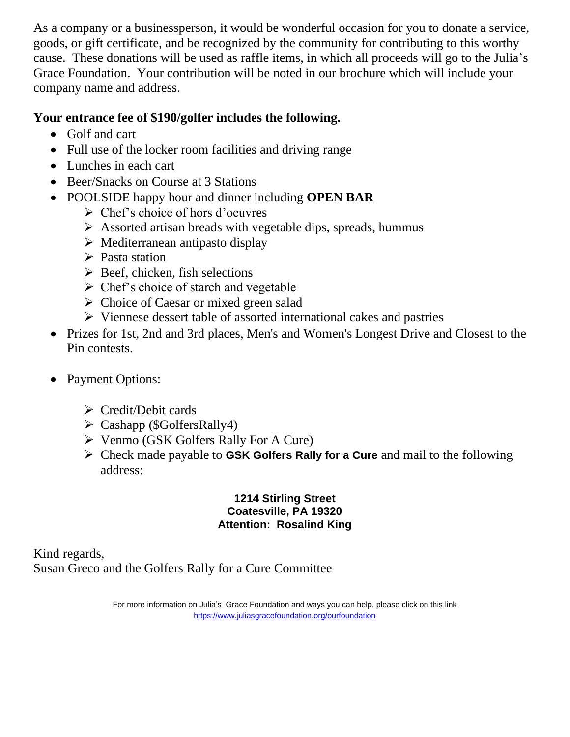As a company or a businessperson, it would be wonderful occasion for you to donate a service, goods, or gift certificate, and be recognized by the community for contributing to this worthy cause. These donations will be used as raffle items, in which all proceeds will go to the Julia's Grace Foundation. Your contribution will be noted in our brochure which will include your company name and address.

# **Your entrance fee of \$190/golfer includes the following.**

- Golf and cart
- Full use of the locker room facilities and driving range
- Lunches in each cart
- Beer/Snacks on Course at 3 Stations
- POOLSIDE happy hour and dinner including **OPEN BAR** 
	- ➢ Chef's choice of hors d'oeuvres
	- ➢ Assorted artisan breads with vegetable dips, spreads, hummus
	- ➢ Mediterranean antipasto display
	- ➢ Pasta station
	- $\triangleright$  Beef, chicken, fish selections
	- $\triangleright$  Chef's choice of starch and vegetable
	- ➢ Choice of Caesar or mixed green salad
	- ➢ Viennese dessert table of assorted international cakes and pastries
- Prizes for 1st, 2nd and 3rd places, Men's and Women's Longest Drive and Closest to the Pin contests.
- Payment Options:
	- ➢ Credit/Debit cards
	- ➢ Cashapp (\$GolfersRally4)
	- ➢ Venmo (GSK Golfers Rally For A Cure)
	- ➢ Check made payable to **GSK Golfers Rally for a Cure** and mail to the following address:

#### **1214 Stirling Street Coatesville, PA 19320 Attention: Rosalind King**

Kind regards, Susan Greco and the Golfers Rally for a Cure Committee

> For more information on Julia's Grace Foundation and ways you can help, please click on this link <https://www.juliasgracefoundation.org/ourfoundation>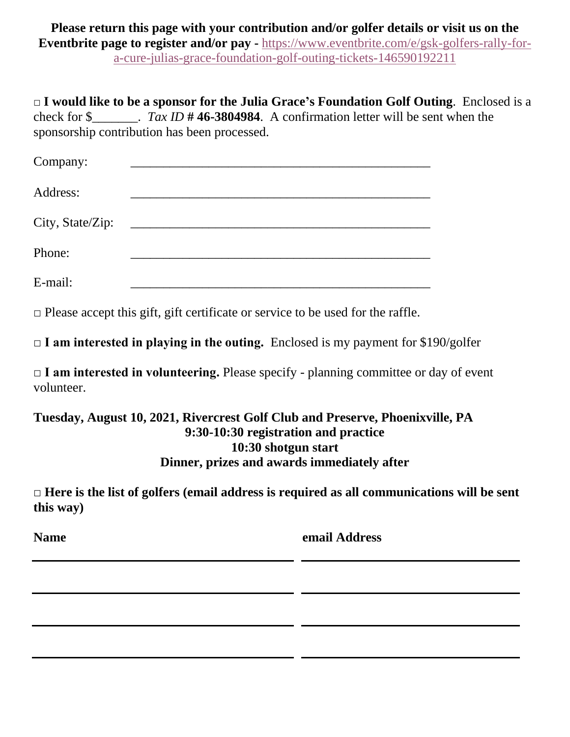**Please return this page with your contribution and/or golfer details or visit us on the Eventbrite page to register and/or pay -** [https://www.eventbrite.com/e/gsk-golfers-rally-for](https://www.eventbrite.com/e/gsk-golfers-rally-for-a-cure-julias-grace-foundation-golf-outing-tickets-146590192211)[a-cure-julias-grace-foundation-golf-outing-tickets-146590192211](https://www.eventbrite.com/e/gsk-golfers-rally-for-a-cure-julias-grace-foundation-golf-outing-tickets-146590192211)

**□ I would like to be a sponsor for the Julia Grace's Foundation Golf Outing**. Enclosed is a check for \$\_\_\_\_\_\_\_. *Tax ID* **# 46-3804984**. A confirmation letter will be sent when the sponsorship contribution has been processed.

| Company:         |                                                                                                                                                                                                                                      |
|------------------|--------------------------------------------------------------------------------------------------------------------------------------------------------------------------------------------------------------------------------------|
| Address:         |                                                                                                                                                                                                                                      |
| City, State/Zip: | <u> 1986 - Jan Stein Stein Stein Stein Stein Stein Stein Stein Stein Stein Stein Stein Stein Stein Stein Stein Stein Stein Stein Stein Stein Stein Stein Stein Stein Stein Stein Stein Stein Stein Stein Stein Stein Stein Stein</u> |
| Phone:           |                                                                                                                                                                                                                                      |
| E-mail:          |                                                                                                                                                                                                                                      |

**□** Please accept this gift, gift certificate or service to be used for the raffle.

**□ I am interested in playing in the outing.** Enclosed is my payment for \$190/golfer

□ I am interested in volunteering. Please specify - planning committee or day of event volunteer.

### **Tuesday, August 10, 2021, Rivercrest Golf Club and Preserve, Phoenixville, PA 9:30-10:30 registration and practice 10:30 shotgun start Dinner, prizes and awards immediately after**

**□ Here is the list of golfers (email address is required as all communications will be sent this way)**

**Name email Address**